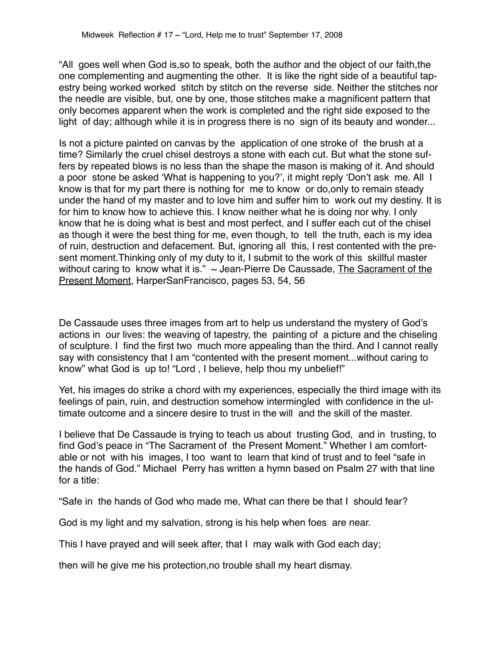"All goes well when God is,so to speak, both the author and the object of our faith,the one complementing and augmenting the other. It is like the right side of a beautiful tapestry being worked worked stitch by stitch on the reverse side. Neither the stitches nor the needle are visible, but, one by one, those stitches make a magnificent pattern that only becomes apparent when the work is completed and the right side exposed to the light of day; although while it is in progress there is no sign of its beauty and wonder...

Is not a picture painted on canvas by the application of one stroke of the brush at a time? Similarly the cruel chisel destroys a stone with each cut. But what the stone suffers by repeated blows is no less than the shape the mason is making of it. And should a poor stone be asked 'What is happening to you?', it might reply 'Don't ask me. All I know is that for my part there is nothing for me to know or do,only to remain steady under the hand of my master and to love him and suffer him to work out my destiny. It is for him to know how to achieve this. I know neither what he is doing nor why. I only know that he is doing what is best and most perfect, and I suffer each cut of the chisel as though it were the best thing for me, even though, to tell the truth, each is my idea of ruin, destruction and defacement. But, ignoring all this, I rest contented with the present moment.Thinking only of my duty to it, I submit to the work of this skillful master without caring to know what it is."  $\sim$  Jean-Pierre De Caussade, The Sacrament of the Present Moment, HarperSanFrancisco, pages 53, 54, 56

De Cassaude uses three images from art to help us understand the mystery of God's actions in our lives: the weaving of tapestry, the painting of a picture and the chiseling of sculpture. I find the first two much more appealing than the third. And I cannot really say with consistency that I am "contented with the present moment...without caring to know" what God is up to! "Lord , I believe, help thou my unbelief!"

Yet, his images do strike a chord with my experiences, especially the third image with its feelings of pain, ruin, and destruction somehow intermingled with confidence in the ultimate outcome and a sincere desire to trust in the will and the skill of the master.

I believe that De Cassaude is trying to teach us about trusting God, and in trusting, to find God's peace in "The Sacrament of the Present Moment." Whether I am comfortable or not with his images, I too want to learn that kind of trust and to feel "safe in the hands of God." Michael Perry has written a hymn based on Psalm 27 with that line for a title:

"Safe in the hands of God who made me, What can there be that I should fear?

God is my light and my salvation, strong is his help when foes are near.

This I have prayed and will seek after, that I may walk with God each day;

then will he give me his protection,no trouble shall my heart dismay.